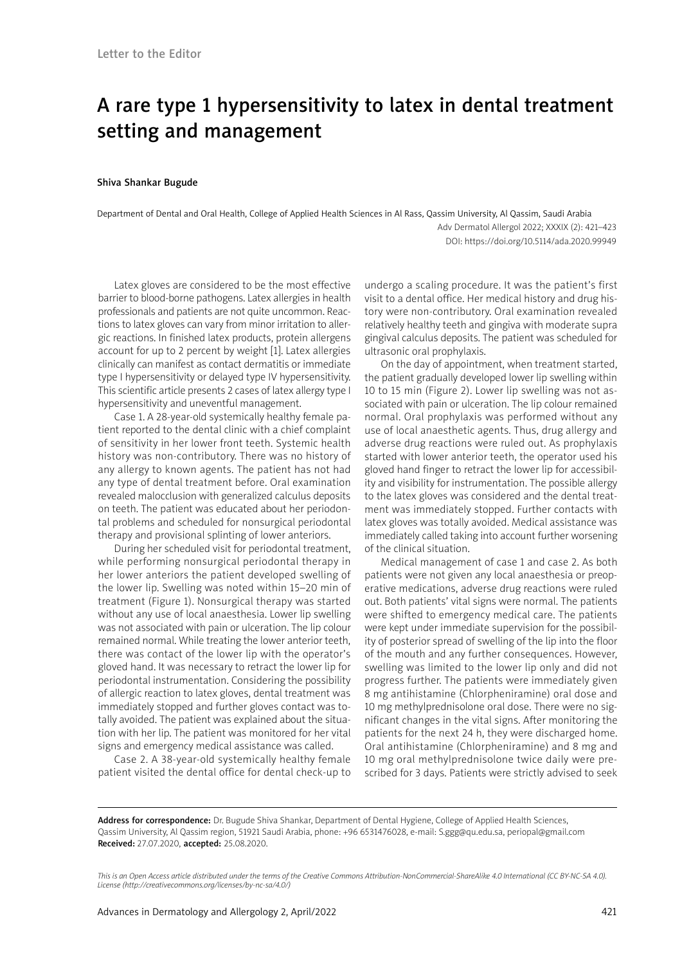# A rare type 1 hypersensitivity to latex in dental treatment setting and management

#### Shiva Shankar Bugude

Department of Dental and Oral Health, College of Applied Health Sciences in Al Rass, Qassim University, Al Qassim, Saudi Arabia Adv Dermatol Allergol 2022; XXXIX (2): 421–423 DOI: https://doi.org/10.5114/ada.2020.99949

Latex gloves are considered to be the most effective barrier to blood-borne pathogens. Latex allergies in health professionals and patients are not quite uncommon. Reactions to latex gloves can vary from minor irritation to allergic reactions. In finished latex products, protein allergens account for up to 2 percent by weight [1]. Latex allergies clinically can manifest as contact dermatitis or immediate type I hypersensitivity or delayed type IV hypersensitivity. This scientific article presents 2 cases of latex allergy type I hypersensitivity and uneventful management.

Case 1. A 28-year-old systemically healthy female patient reported to the dental clinic with a chief complaint of sensitivity in her lower front teeth. Systemic health history was non-contributory. There was no history of any allergy to known agents. The patient has not had any type of dental treatment before. Oral examination revealed malocclusion with generalized calculus deposits on teeth. The patient was educated about her periodontal problems and scheduled for nonsurgical periodontal therapy and provisional splinting of lower anteriors.

During her scheduled visit for periodontal treatment, while performing nonsurgical periodontal therapy in her lower anteriors the patient developed swelling of the lower lip. Swelling was noted within 15–20 min of treatment (Figure 1). Nonsurgical therapy was started without any use of local anaesthesia. Lower lip swelling was not associated with pain or ulceration. The lip colour remained normal. While treating the lower anterior teeth, there was contact of the lower lip with the operator's gloved hand. It was necessary to retract the lower lip for periodontal instrumentation. Considering the possibility of allergic reaction to latex gloves, dental treatment was immediately stopped and further gloves contact was totally avoided. The patient was explained about the situation with her lip. The patient was monitored for her vital signs and emergency medical assistance was called.

Case 2. A 38-year-old systemically healthy female patient visited the dental office for dental check-up to undergo a scaling procedure. It was the patient's first visit to a dental office. Her medical history and drug history were non-contributory. Oral examination revealed relatively healthy teeth and gingiva with moderate supra gingival calculus deposits. The patient was scheduled for ultrasonic oral prophylaxis.

On the day of appointment, when treatment started, the patient gradually developed lower lip swelling within 10 to 15 min (Figure 2). Lower lip swelling was not associated with pain or ulceration. The lip colour remained normal. Oral prophylaxis was performed without any use of local anaesthetic agents. Thus, drug allergy and adverse drug reactions were ruled out. As prophylaxis started with lower anterior teeth, the operator used his gloved hand finger to retract the lower lip for accessibility and visibility for instrumentation. The possible allergy to the latex gloves was considered and the dental treatment was immediately stopped. Further contacts with latex gloves was totally avoided. Medical assistance was immediately called taking into account further worsening of the clinical situation.

Medical management of case 1 and case 2. As both patients were not given any local anaesthesia or preoperative medications, adverse drug reactions were ruled out. Both patients' vital signs were normal. The patients were shifted to emergency medical care. The patients were kept under immediate supervision for the possibility of posterior spread of swelling of the lip into the floor of the mouth and any further consequences. However, swelling was limited to the lower lip only and did not progress further. The patients were immediately given 8 mg antihistamine (Chlorpheniramine) oral dose and 10 mg methylprednisolone oral dose. There were no significant changes in the vital signs. After monitoring the patients for the next 24 h, they were discharged home. Oral antihistamine (Chlorpheniramine) and 8 mg and 10 mg oral methylprednisolone twice daily were prescribed for 3 days. Patients were strictly advised to seek

Address for correspondence: Dr. Bugude Shiva Shankar, Department of Dental Hygiene, College of Applied Health Sciences, Qassim University, Al Qassim region, 51921 Saudi Arabia, phone: +96 6531476028, e-mail: S.ggg@qu.edu.sa, periopal@gmail.com Received: 27.07.2020, accepted: 25.08.2020.

*This is an Open Access article distributed under the terms of the Creative Commons Attribution-NonCommercial-ShareAlike 4.0 International (CC BY-NC-SA 4.0). License (http://creativecommons.org/licenses/by-nc-sa/4.0/)*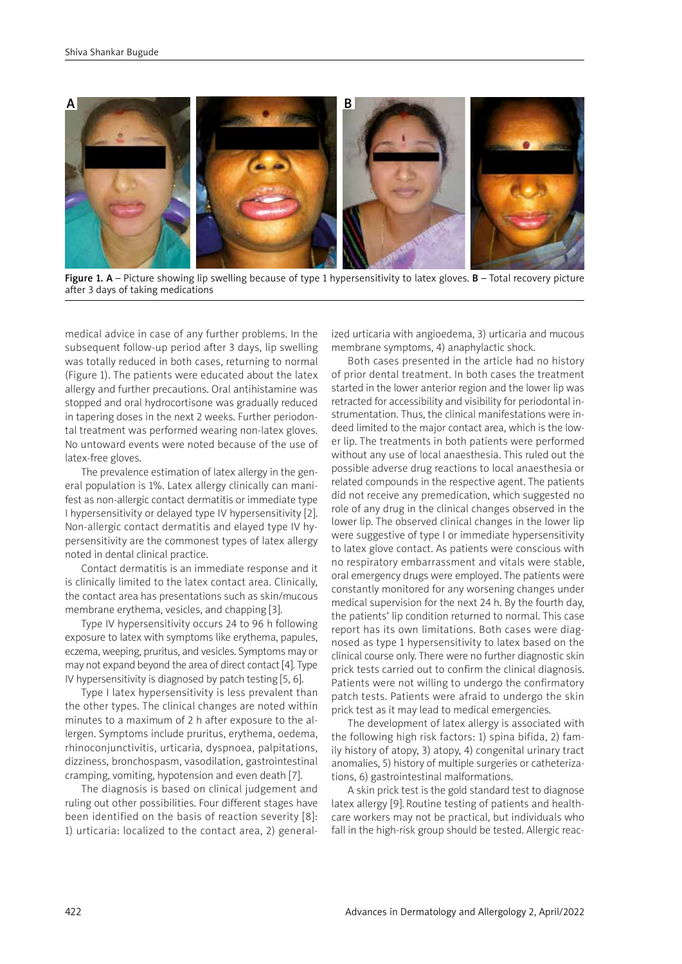

Figure 1. A – Picture showing lip swelling because of type 1 hypersensitivity to latex gloves.  $B$  – Total recovery picture after 3 days of taking medications

medical advice in case of any further problems. In the subsequent follow-up period after 3 days, lip swelling was totally reduced in both cases, returning to normal (Figure 1). The patients were educated about the latex allergy and further precautions. Oral antihistamine was stopped and oral hydrocortisone was gradually reduced in tapering doses in the next 2 weeks. Further periodontal treatment was performed wearing non-latex gloves. No untoward events were noted because of the use of latex-free gloves.

The prevalence estimation of latex allergy in the general population is 1%. Latex allergy clinically can manifest as non-allergic contact dermatitis or immediate type I hypersensitivity or delayed type IV hypersensitivity [2]. Non-allergic contact dermatitis and elayed type IV hypersensitivity are the commonest types of latex allergy noted in dental clinical practice.

Contact dermatitis is an immediate response and it is clinically limited to the latex contact area. Clinically, the contact area has presentations such as skin/mucous membrane erythema, vesicles, and chapping [3].

Type IV hypersensitivity occurs 24 to 96 h following exposure to latex with symptoms like erythema, papules, eczema, weeping, pruritus, and vesicles. Symptoms may or may not expand beyond the area of direct contact [4]. Type IV hypersensitivity is diagnosed by patch testing [5, 6].

Type I latex hypersensitivity is less prevalent than the other types. The clinical changes are noted within minutes to a maximum of 2 h after exposure to the allergen. Symptoms include pruritus, erythema, oedema, rhinoconjunctivitis, urticaria, dyspnoea, palpitations, dizziness, bronchospasm, vasodilation, gastrointestinal cramping, vomiting, hypotension and even death [7].

The diagnosis is based on clinical judgement and ruling out other possibilities. Four different stages have been identified on the basis of reaction severity [8]: 1) urticaria: localized to the contact area, 2) generalized urticaria with angioedema, 3) urticaria and mucous membrane symptoms, 4) anaphylactic shock.

Both cases presented in the article had no history of prior dental treatment. In both cases the treatment started in the lower anterior region and the lower lip was retracted for accessibility and visibility for periodontal instrumentation. Thus, the clinical manifestations were indeed limited to the major contact area, which is the lower lip. The treatments in both patients were performed without any use of local anaesthesia. This ruled out the possible adverse drug reactions to local anaesthesia or related compounds in the respective agent. The patients did not receive any premedication, which suggested no role of any drug in the clinical changes observed in the lower lip. The observed clinical changes in the lower lip were suggestive of type I or immediate hypersensitivity to latex glove contact. As patients were conscious with no respiratory embarrassment and vitals were stable, oral emergency drugs were employed. The patients were constantly monitored for any worsening changes under medical supervision for the next 24 h. By the fourth day, the patients' lip condition returned to normal. This case report has its own limitations. Both cases were diagnosed as type 1 hypersensitivity to latex based on the clinical course only. There were no further diagnostic skin prick tests carried out to confirm the clinical diagnosis. Patients were not willing to undergo the confirmatory patch tests. Patients were afraid to undergo the skin prick test as it may lead to medical emergencies.

The development of latex allergy is associated with the following high risk factors: 1) spina bifida, 2) family history of atopy, 3) atopy, 4) congenital urinary tract anomalies, 5) history of multiple surgeries or catheterizations, 6) gastrointestinal malformations.

A skin prick test is the gold standard test to diagnose latex allergy [9]. Routine testing of patients and healthcare workers may not be practical, but individuals who fall in the high-risk group should be tested. Allergic reac